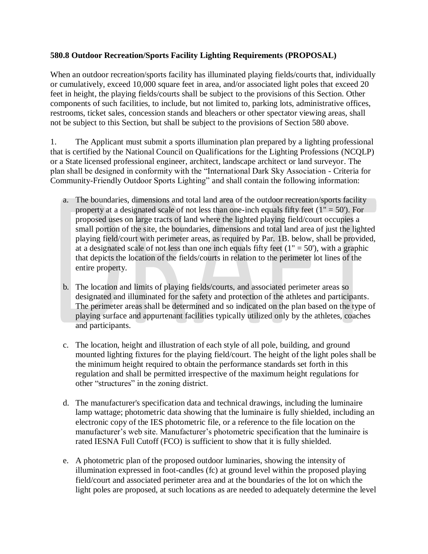## **580.8 Outdoor Recreation/Sports Facility Lighting Requirements (PROPOSAL)**

When an outdoor recreation/sports facility has illuminated playing fields/courts that, individually or cumulatively, exceed 10,000 square feet in area, and/or associated light poles that exceed 20 feet in height, the playing fields/courts shall be subject to the provisions of this Section. Other components of such facilities, to include, but not limited to, parking lots, administrative offices, restrooms, ticket sales, concession stands and bleachers or other spectator viewing areas, shall not be subject to this Section, but shall be subject to the provisions of Section 580 above.

1. The Applicant must submit a sports illumination plan prepared by a lighting professional that is certified by the National Council on Qualifications for the Lighting Professions (NCQLP) or a State licensed professional engineer, architect, landscape architect or land surveyor. The plan shall be designed in conformity with the "International Dark Sky Association - Criteria for Community-Friendly Outdoor Sports Lighting" and shall contain the following information:

- a. The boundaries, dimensions and total land area of the outdoor recreation/sports facility property at a designated scale of not less than one-inch equals fifty feet  $(1" = 50')$ . For proposed uses on large tracts of land where the lighted playing field/court occupies a small portion of the site, the boundaries, dimensions and total land area of just the lighted playing field/court with perimeter areas, as required by Par. 1B. below, shall be provided, at a designated scale of not less than one inch equals fifty feet  $(1 - 50)$ , with a graphic that depicts the location of the fields/courts in relation to the perimeter lot lines of the entire property.
- b. The location and limits of playing fields/courts, and associated perimeter areas so designated and illuminated for the safety and protection of the athletes and participants. The perimeter areas shall be determined and so indicated on the plan based on the type of playing surface and appurtenant facilities typically utilized only by the athletes, coaches and participants.
- c. The location, height and illustration of each style of all pole, building, and ground mounted lighting fixtures for the playing field/court. The height of the light poles shall be the minimum height required to obtain the performance standards set forth in this regulation and shall be permitted irrespective of the maximum height regulations for other "structures" in the zoning district.
- d. The manufacturer's specification data and technical drawings, including the luminaire lamp wattage; photometric data showing that the luminaire is fully shielded, including an electronic copy of the IES photometric file, or a reference to the file location on the manufacturer's web site. Manufacturer's photometric specification that the luminaire is rated IESNA Full Cutoff (FCO) is sufficient to show that it is fully shielded.
- e. A photometric plan of the proposed outdoor luminaries, showing the intensity of illumination expressed in foot-candles (fc) at ground level within the proposed playing field/court and associated perimeter area and at the boundaries of the lot on which the light poles are proposed, at such locations as are needed to adequately determine the level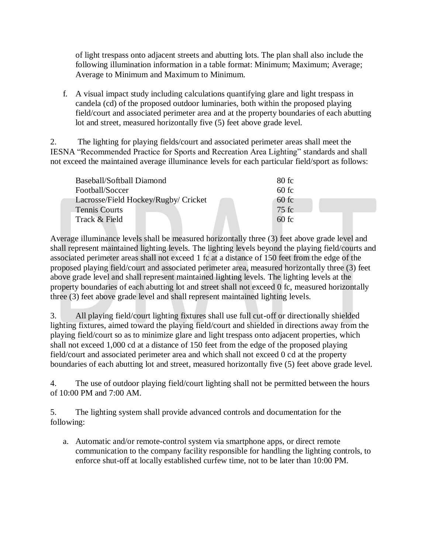of light trespass onto adjacent streets and abutting lots. The plan shall also include the following illumination information in a table format: Minimum; Maximum; Average; Average to Minimum and Maximum to Minimum.

f. A visual impact study including calculations quantifying glare and light trespass in candela (cd) of the proposed outdoor luminaries, both within the proposed playing field/court and associated perimeter area and at the property boundaries of each abutting lot and street, measured horizontally five (5) feet above grade level.

2. The lighting for playing fields/court and associated perimeter areas shall meet the IESNA "Recommended Practice for Sports and Recreation Area Lighting" standards and shall not exceed the maintained average illuminance levels for each particular field/sport as follows:

| Baseball/Softball Diamond            | 80 fc   |
|--------------------------------------|---------|
| Football/Soccer                      | 60fc    |
| Lacrosse/Field Hockey/Rugby/ Cricket | $60$ fc |
| <b>Tennis Courts</b>                 | 75 fc   |
| Track & Field                        | 60fc    |

Average illuminance levels shall be measured horizontally three (3) feet above grade level and shall represent maintained lighting levels. The lighting levels beyond the playing field/courts and associated perimeter areas shall not exceed 1 fc at a distance of 150 feet from the edge of the proposed playing field/court and associated perimeter area, measured horizontally three (3) feet above grade level and shall represent maintained lighting levels. The lighting levels at the property boundaries of each abutting lot and street shall not exceed 0 fc, measured horizontally three (3) feet above grade level and shall represent maintained lighting levels.

3. All playing field/court lighting fixtures shall use full cut-off or directionally shielded lighting fixtures, aimed toward the playing field/court and shielded in directions away from the playing field/court so as to minimize glare and light trespass onto adjacent properties, which shall not exceed 1,000 cd at a distance of 150 feet from the edge of the proposed playing field/court and associated perimeter area and which shall not exceed 0 cd at the property boundaries of each abutting lot and street, measured horizontally five (5) feet above grade level.

4. The use of outdoor playing field/court lighting shall not be permitted between the hours of 10:00 PM and 7:00 AM.

5. The lighting system shall provide advanced controls and documentation for the following:

a. Automatic and/or remote-control system via smartphone apps, or direct remote communication to the company facility responsible for handling the lighting controls, to enforce shut-off at locally established curfew time, not to be later than 10:00 PM.